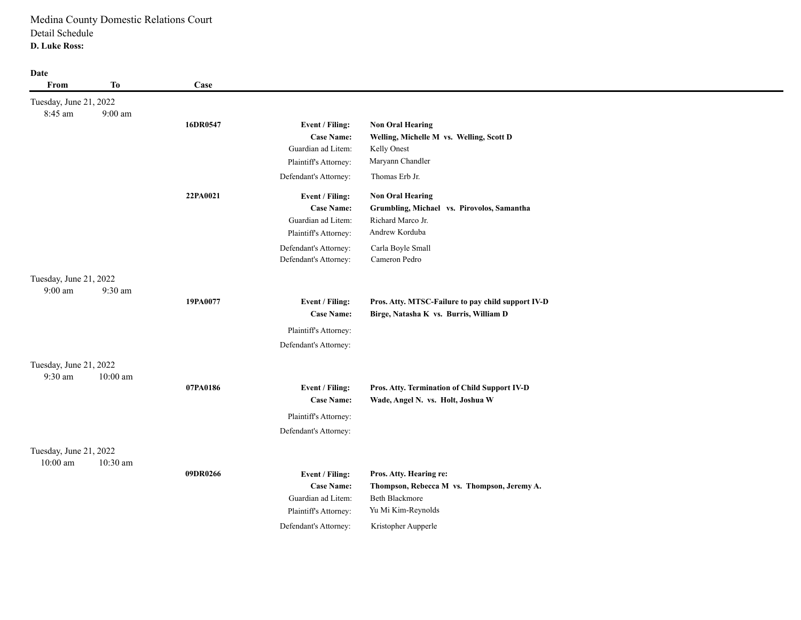| Date<br>From                      | To                 | Case     |                                                |                                                                                              |
|-----------------------------------|--------------------|----------|------------------------------------------------|----------------------------------------------------------------------------------------------|
| Tuesday, June 21, 2022<br>8:45 am | $9:00~\mathrm{am}$ |          |                                                |                                                                                              |
|                                   |                    | 16DR0547 | Event / Filing:                                | <b>Non Oral Hearing</b>                                                                      |
|                                   |                    |          | <b>Case Name:</b>                              | Welling, Michelle M vs. Welling, Scott D                                                     |
|                                   |                    |          | Guardian ad Litem:                             | Kelly Onest                                                                                  |
|                                   |                    |          | Plaintiff's Attorney:                          | Maryann Chandler                                                                             |
|                                   |                    |          | Defendant's Attorney:                          | Thomas Erb Jr.                                                                               |
|                                   |                    | 22PA0021 | Event / Filing:                                | <b>Non Oral Hearing</b>                                                                      |
|                                   |                    |          | <b>Case Name:</b>                              | Grumbling, Michael vs. Pirovolos, Samantha                                                   |
|                                   |                    |          | Guardian ad Litem:                             | Richard Marco Jr.                                                                            |
|                                   |                    |          | Plaintiff's Attorney:                          | Andrew Korduba                                                                               |
|                                   |                    |          | Defendant's Attorney:                          | Carla Boyle Small                                                                            |
|                                   |                    |          | Defendant's Attorney:                          | Cameron Pedro                                                                                |
| Tuesday, June 21, 2022            |                    |          |                                                |                                                                                              |
| 9:00 am                           | 9:30 am            |          |                                                |                                                                                              |
|                                   |                    | 19PA0077 | Event / Filing:<br><b>Case Name:</b>           | Pros. Atty. MTSC-Failure to pay child support IV-D<br>Birge, Natasha K vs. Burris, William D |
|                                   |                    |          |                                                |                                                                                              |
|                                   |                    |          | Plaintiff's Attorney:<br>Defendant's Attorney: |                                                                                              |
|                                   |                    |          |                                                |                                                                                              |
| Tuesday, June 21, 2022            |                    |          |                                                |                                                                                              |
| 9:30 am                           | $10:00$ am         |          |                                                |                                                                                              |
|                                   |                    | 07PA0186 | Event / Filing:<br><b>Case Name:</b>           | Pros. Atty. Termination of Child Support IV-D<br>Wade, Angel N. vs. Holt, Joshua W           |
|                                   |                    |          | Plaintiff's Attorney:                          |                                                                                              |
|                                   |                    |          | Defendant's Attorney:                          |                                                                                              |
| Tuesday, June 21, 2022            |                    |          |                                                |                                                                                              |
| $10:00$ am                        | 10:30 am           | 09DR0266 | Event / Filing:                                | Pros. Atty. Hearing re:                                                                      |
|                                   |                    |          | <b>Case Name:</b>                              | Thompson, Rebecca M vs. Thompson, Jeremy A.                                                  |
|                                   |                    |          | Guardian ad Litem:                             | <b>Beth Blackmore</b>                                                                        |
|                                   |                    |          | Plaintiff's Attorney:                          | Yu Mi Kim-Reynolds                                                                           |
|                                   |                    |          | Defendant's Attorney:                          | Kristopher Aupperle                                                                          |
|                                   |                    |          |                                                |                                                                                              |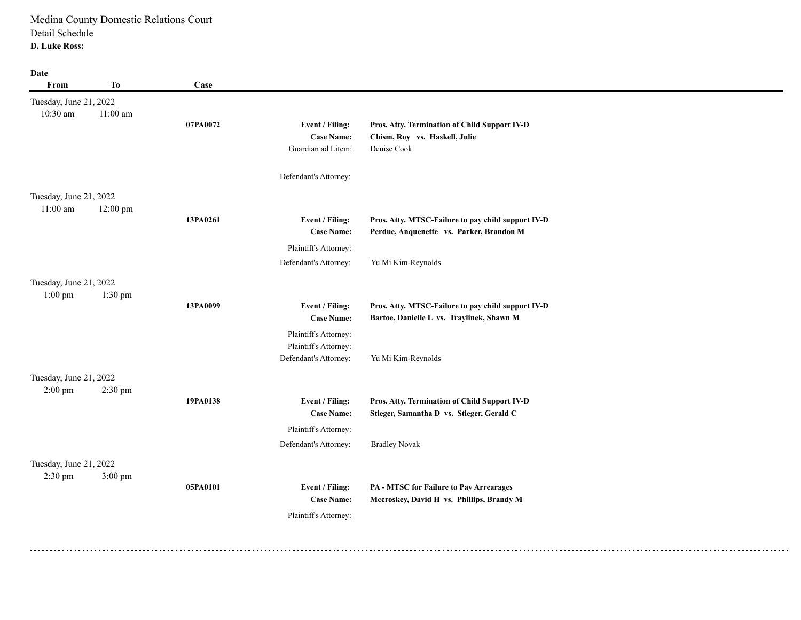| From                                 | <b>To</b>  | Case     |                                                            |                                                                                                 |
|--------------------------------------|------------|----------|------------------------------------------------------------|-------------------------------------------------------------------------------------------------|
| Tuesday, June 21, 2022<br>10:30 am   | $11:00$ am | 07PA0072 | Event / Filing:<br><b>Case Name:</b><br>Guardian ad Litem: | Pros. Atty. Termination of Child Support IV-D<br>Chism, Roy vs. Haskell, Julie<br>Denise Cook   |
|                                      |            |          | Defendant's Attorney:                                      |                                                                                                 |
| Tuesday, June 21, 2022<br>$11:00$ am |            |          |                                                            |                                                                                                 |
|                                      | 12:00 pm   | 13PA0261 | Event / Filing:<br><b>Case Name:</b>                       | Pros. Atty. MTSC-Failure to pay child support IV-D<br>Perdue, Anquenette vs. Parker, Brandon M  |
|                                      |            |          | Plaintiff's Attorney:                                      |                                                                                                 |
|                                      |            |          | Defendant's Attorney:                                      | Yu Mi Kim-Reynolds                                                                              |
| Tuesday, June 21, 2022<br>$1:00$ pm  | 1:30 pm    |          |                                                            |                                                                                                 |
|                                      |            | 13PA0099 | Event / Filing:<br><b>Case Name:</b>                       | Pros. Atty. MTSC-Failure to pay child support IV-D<br>Bartoe, Danielle L vs. Traylinek, Shawn M |
|                                      |            |          | Plaintiff's Attorney:                                      |                                                                                                 |
|                                      |            |          | Plaintiff's Attorney:<br>Defendant's Attorney:             | Yu Mi Kim-Reynolds                                                                              |
| Tuesday, June 21, 2022               |            |          |                                                            |                                                                                                 |
| $2:00$ pm                            | 2:30 pm    |          |                                                            |                                                                                                 |
|                                      |            | 19PA0138 | Event / Filing:<br><b>Case Name:</b>                       | Pros. Atty. Termination of Child Support IV-D<br>Stieger, Samantha D vs. Stieger, Gerald C      |
|                                      |            |          | Plaintiff's Attorney:                                      |                                                                                                 |
|                                      |            |          | Defendant's Attorney:                                      | <b>Bradley Novak</b>                                                                            |
| Tuesday, June 21, 2022               |            |          |                                                            |                                                                                                 |
| $2:30$ pm                            | 3:00 pm    |          |                                                            |                                                                                                 |
|                                      |            | 05PA0101 | Event / Filing:                                            | PA - MTSC for Failure to Pay Arrearages                                                         |
|                                      |            |          | <b>Case Name:</b>                                          | Mccroskey, David H vs. Phillips, Brandy M                                                       |
|                                      |            |          | Plaintiff's Attorney:                                      |                                                                                                 |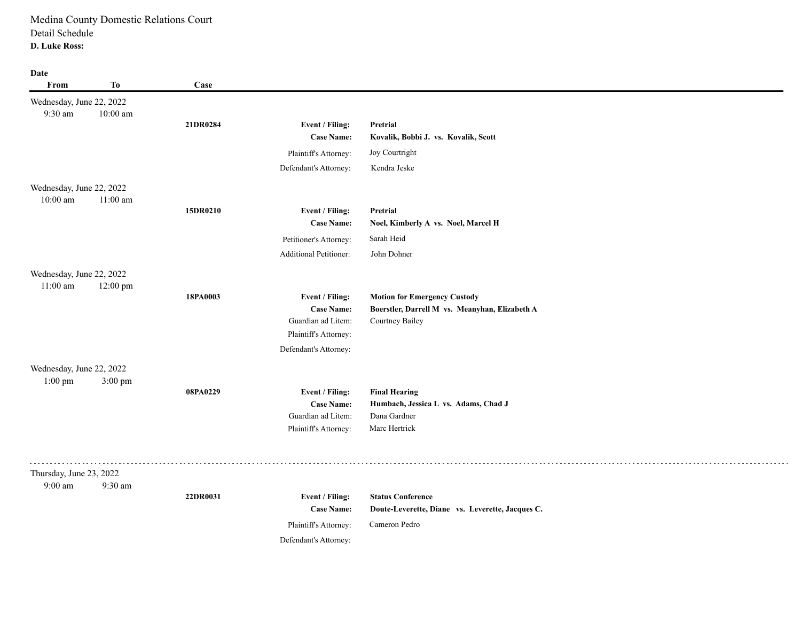| Wednesday, June 22, 2022<br>9:30 am<br>$10:00$ am<br>21DR0284<br>Event / Filing:<br>Pretrial<br><b>Case Name:</b><br>Kovalik, Bobbi J. vs. Kovalik, Scott<br>Joy Courtright<br>Plaintiff's Attorney:<br>Defendant's Attorney:<br>Kendra Jeske<br>Wednesday, June 22, 2022<br>$11:00$ am<br>$10:00$ am<br>15DR0210<br>Event / Filing:<br>Pretrial<br><b>Case Name:</b><br>Noel, Kimberly A vs. Noel, Marcel H<br>Sarah Heid<br>Petitioner's Attorney:<br><b>Additional Petitioner:</b><br>John Dohner<br>Wednesday, June 22, 2022<br>$11:00$ am<br>12:00 pm<br>18PA0003<br>Event / Filing:<br><b>Motion for Emergency Custody</b><br><b>Case Name:</b><br>Boerstler, Darrell M vs. Meanyhan, Elizabeth A<br>Guardian ad Litem:<br>Courtney Bailey<br>Plaintiff's Attorney:<br>Defendant's Attorney:<br>Wednesday, June 22, 2022<br>$1:00$ pm<br>3:00 pm<br>08PA0229<br><b>Final Hearing</b><br>Event / Filing:<br>Humbach, Jessica L vs. Adams, Chad J<br><b>Case Name:</b><br>Guardian ad Litem:<br>Dana Gardner<br>Marc Hertrick<br>Plaintiff's Attorney:<br>Thursday, June 23, 2022<br>$9:00$ am<br>9:30 am<br>22DR0031<br>Event / Filing:<br><b>Status Conference</b><br><b>Case Name:</b><br>Doute-Leverette, Diane vs. Leverette, Jacques C.<br>Cameron Pedro<br>Plaintiff's Attorney: | From | <b>To</b> | Case |                       |  |
|---------------------------------------------------------------------------------------------------------------------------------------------------------------------------------------------------------------------------------------------------------------------------------------------------------------------------------------------------------------------------------------------------------------------------------------------------------------------------------------------------------------------------------------------------------------------------------------------------------------------------------------------------------------------------------------------------------------------------------------------------------------------------------------------------------------------------------------------------------------------------------------------------------------------------------------------------------------------------------------------------------------------------------------------------------------------------------------------------------------------------------------------------------------------------------------------------------------------------------------------------------------------------------------------|------|-----------|------|-----------------------|--|
|                                                                                                                                                                                                                                                                                                                                                                                                                                                                                                                                                                                                                                                                                                                                                                                                                                                                                                                                                                                                                                                                                                                                                                                                                                                                                             |      |           |      |                       |  |
|                                                                                                                                                                                                                                                                                                                                                                                                                                                                                                                                                                                                                                                                                                                                                                                                                                                                                                                                                                                                                                                                                                                                                                                                                                                                                             |      |           |      |                       |  |
|                                                                                                                                                                                                                                                                                                                                                                                                                                                                                                                                                                                                                                                                                                                                                                                                                                                                                                                                                                                                                                                                                                                                                                                                                                                                                             |      |           |      |                       |  |
|                                                                                                                                                                                                                                                                                                                                                                                                                                                                                                                                                                                                                                                                                                                                                                                                                                                                                                                                                                                                                                                                                                                                                                                                                                                                                             |      |           |      |                       |  |
|                                                                                                                                                                                                                                                                                                                                                                                                                                                                                                                                                                                                                                                                                                                                                                                                                                                                                                                                                                                                                                                                                                                                                                                                                                                                                             |      |           |      |                       |  |
|                                                                                                                                                                                                                                                                                                                                                                                                                                                                                                                                                                                                                                                                                                                                                                                                                                                                                                                                                                                                                                                                                                                                                                                                                                                                                             |      |           |      |                       |  |
|                                                                                                                                                                                                                                                                                                                                                                                                                                                                                                                                                                                                                                                                                                                                                                                                                                                                                                                                                                                                                                                                                                                                                                                                                                                                                             |      |           |      |                       |  |
|                                                                                                                                                                                                                                                                                                                                                                                                                                                                                                                                                                                                                                                                                                                                                                                                                                                                                                                                                                                                                                                                                                                                                                                                                                                                                             |      |           |      |                       |  |
|                                                                                                                                                                                                                                                                                                                                                                                                                                                                                                                                                                                                                                                                                                                                                                                                                                                                                                                                                                                                                                                                                                                                                                                                                                                                                             |      |           |      |                       |  |
|                                                                                                                                                                                                                                                                                                                                                                                                                                                                                                                                                                                                                                                                                                                                                                                                                                                                                                                                                                                                                                                                                                                                                                                                                                                                                             |      |           |      |                       |  |
|                                                                                                                                                                                                                                                                                                                                                                                                                                                                                                                                                                                                                                                                                                                                                                                                                                                                                                                                                                                                                                                                                                                                                                                                                                                                                             |      |           |      |                       |  |
|                                                                                                                                                                                                                                                                                                                                                                                                                                                                                                                                                                                                                                                                                                                                                                                                                                                                                                                                                                                                                                                                                                                                                                                                                                                                                             |      |           |      |                       |  |
|                                                                                                                                                                                                                                                                                                                                                                                                                                                                                                                                                                                                                                                                                                                                                                                                                                                                                                                                                                                                                                                                                                                                                                                                                                                                                             |      |           |      |                       |  |
|                                                                                                                                                                                                                                                                                                                                                                                                                                                                                                                                                                                                                                                                                                                                                                                                                                                                                                                                                                                                                                                                                                                                                                                                                                                                                             |      |           |      |                       |  |
|                                                                                                                                                                                                                                                                                                                                                                                                                                                                                                                                                                                                                                                                                                                                                                                                                                                                                                                                                                                                                                                                                                                                                                                                                                                                                             |      |           |      |                       |  |
|                                                                                                                                                                                                                                                                                                                                                                                                                                                                                                                                                                                                                                                                                                                                                                                                                                                                                                                                                                                                                                                                                                                                                                                                                                                                                             |      |           |      |                       |  |
|                                                                                                                                                                                                                                                                                                                                                                                                                                                                                                                                                                                                                                                                                                                                                                                                                                                                                                                                                                                                                                                                                                                                                                                                                                                                                             |      |           |      |                       |  |
|                                                                                                                                                                                                                                                                                                                                                                                                                                                                                                                                                                                                                                                                                                                                                                                                                                                                                                                                                                                                                                                                                                                                                                                                                                                                                             |      |           |      |                       |  |
|                                                                                                                                                                                                                                                                                                                                                                                                                                                                                                                                                                                                                                                                                                                                                                                                                                                                                                                                                                                                                                                                                                                                                                                                                                                                                             |      |           |      |                       |  |
|                                                                                                                                                                                                                                                                                                                                                                                                                                                                                                                                                                                                                                                                                                                                                                                                                                                                                                                                                                                                                                                                                                                                                                                                                                                                                             |      |           |      |                       |  |
|                                                                                                                                                                                                                                                                                                                                                                                                                                                                                                                                                                                                                                                                                                                                                                                                                                                                                                                                                                                                                                                                                                                                                                                                                                                                                             |      |           |      |                       |  |
|                                                                                                                                                                                                                                                                                                                                                                                                                                                                                                                                                                                                                                                                                                                                                                                                                                                                                                                                                                                                                                                                                                                                                                                                                                                                                             |      |           |      |                       |  |
|                                                                                                                                                                                                                                                                                                                                                                                                                                                                                                                                                                                                                                                                                                                                                                                                                                                                                                                                                                                                                                                                                                                                                                                                                                                                                             |      |           |      |                       |  |
|                                                                                                                                                                                                                                                                                                                                                                                                                                                                                                                                                                                                                                                                                                                                                                                                                                                                                                                                                                                                                                                                                                                                                                                                                                                                                             |      |           |      |                       |  |
|                                                                                                                                                                                                                                                                                                                                                                                                                                                                                                                                                                                                                                                                                                                                                                                                                                                                                                                                                                                                                                                                                                                                                                                                                                                                                             |      |           |      |                       |  |
|                                                                                                                                                                                                                                                                                                                                                                                                                                                                                                                                                                                                                                                                                                                                                                                                                                                                                                                                                                                                                                                                                                                                                                                                                                                                                             |      |           |      |                       |  |
|                                                                                                                                                                                                                                                                                                                                                                                                                                                                                                                                                                                                                                                                                                                                                                                                                                                                                                                                                                                                                                                                                                                                                                                                                                                                                             |      |           |      |                       |  |
|                                                                                                                                                                                                                                                                                                                                                                                                                                                                                                                                                                                                                                                                                                                                                                                                                                                                                                                                                                                                                                                                                                                                                                                                                                                                                             |      |           |      |                       |  |
|                                                                                                                                                                                                                                                                                                                                                                                                                                                                                                                                                                                                                                                                                                                                                                                                                                                                                                                                                                                                                                                                                                                                                                                                                                                                                             |      |           |      |                       |  |
|                                                                                                                                                                                                                                                                                                                                                                                                                                                                                                                                                                                                                                                                                                                                                                                                                                                                                                                                                                                                                                                                                                                                                                                                                                                                                             |      |           |      | Defendant's Attorney: |  |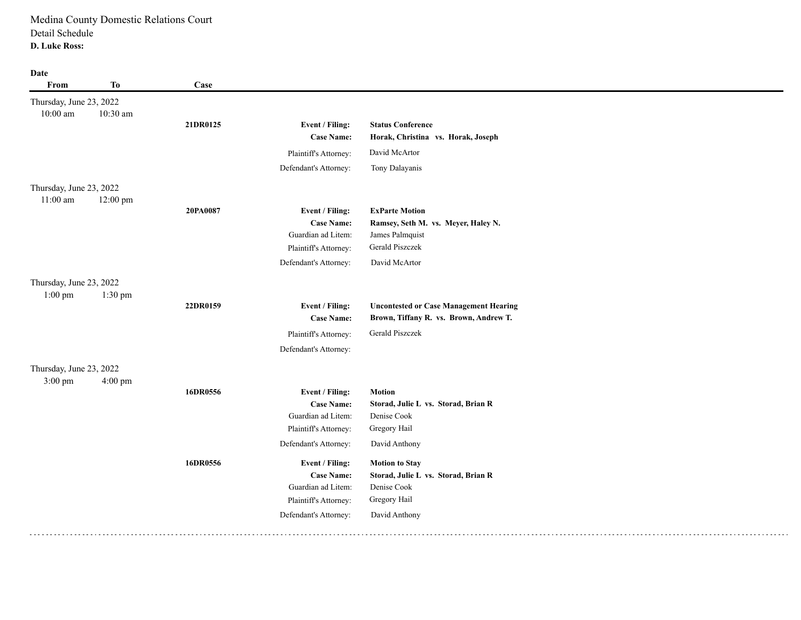| From                    | <b>To</b> | Case     |                       |                                               |
|-------------------------|-----------|----------|-----------------------|-----------------------------------------------|
| Thursday, June 23, 2022 |           |          |                       |                                               |
| $10:00$ am              | 10:30 am  |          |                       |                                               |
|                         |           | 21DR0125 | Event / Filing:       | <b>Status Conference</b>                      |
|                         |           |          | <b>Case Name:</b>     | Horak, Christina vs. Horak, Joseph            |
|                         |           |          | Plaintiff's Attorney: | David McArtor                                 |
|                         |           |          | Defendant's Attorney: | Tony Dalayanis                                |
| Thursday, June 23, 2022 |           |          |                       |                                               |
| $11:00$ am              | 12:00 pm  |          |                       |                                               |
|                         |           | 20PA0087 | Event / Filing:       | <b>ExParte Motion</b>                         |
|                         |           |          | <b>Case Name:</b>     | Ramsey, Seth M. vs. Meyer, Haley N.           |
|                         |           |          | Guardian ad Litem:    | James Palmquist                               |
|                         |           |          | Plaintiff's Attorney: | Gerald Piszczek                               |
|                         |           |          | Defendant's Attorney: | David McArtor                                 |
| Thursday, June 23, 2022 |           |          |                       |                                               |
| $1:00$ pm               | 1:30 pm   |          |                       |                                               |
|                         |           | 22DR0159 | Event / Filing:       | <b>Uncontested or Case Management Hearing</b> |
|                         |           |          | <b>Case Name:</b>     | Brown, Tiffany R. vs. Brown, Andrew T.        |
|                         |           |          | Plaintiff's Attorney: | Gerald Piszczek                               |
|                         |           |          | Defendant's Attorney: |                                               |
| Thursday, June 23, 2022 |           |          |                       |                                               |
| 3:00 pm                 | 4:00 pm   |          |                       |                                               |
|                         |           | 16DR0556 | Event / Filing:       | <b>Motion</b>                                 |
|                         |           |          | <b>Case Name:</b>     | Storad, Julie L vs. Storad, Brian R           |
|                         |           |          | Guardian ad Litem:    | Denise Cook                                   |
|                         |           |          | Plaintiff's Attorney: | Gregory Hail                                  |
|                         |           |          | Defendant's Attorney: | David Anthony                                 |
|                         |           | 16DR0556 | Event / Filing:       | <b>Motion to Stay</b>                         |
|                         |           |          | <b>Case Name:</b>     | Storad, Julie L vs. Storad, Brian R           |
|                         |           |          | Guardian ad Litem:    | Denise Cook                                   |
|                         |           |          | Plaintiff's Attorney: | Gregory Hail                                  |
|                         |           |          | Defendant's Attorney: | David Anthony                                 |
|                         |           |          |                       |                                               |